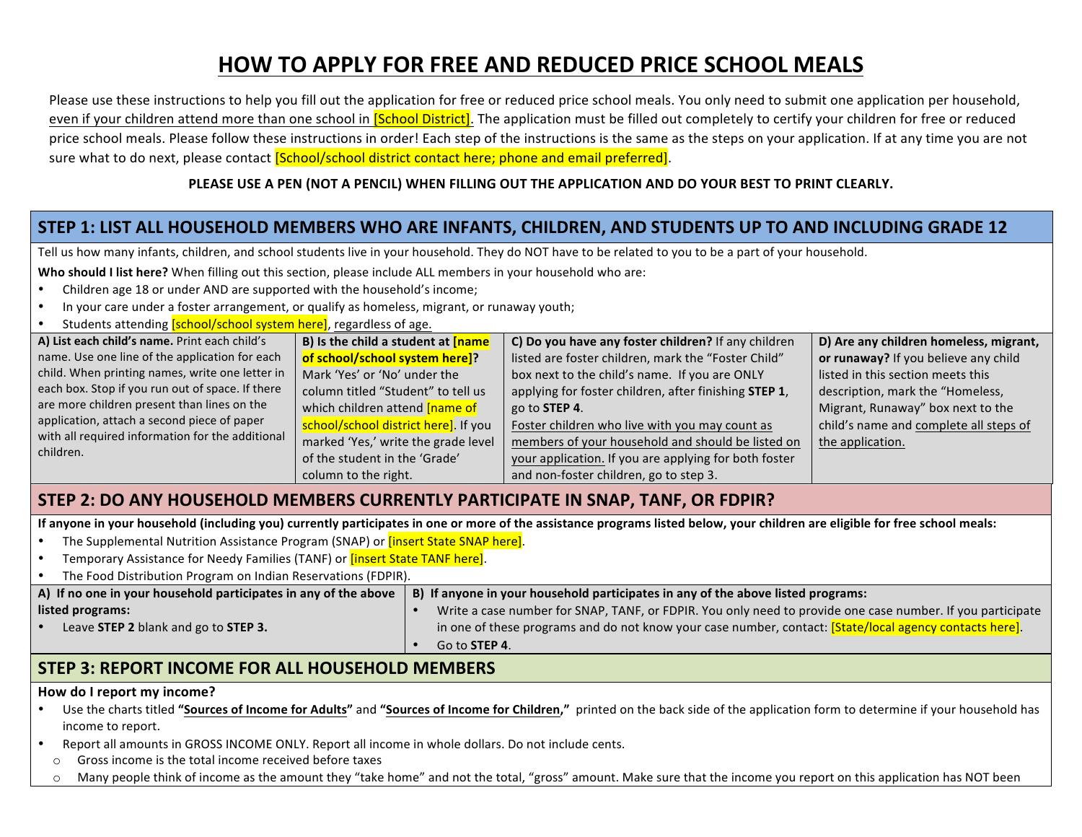# **HOW TO APPLY FOR FREE AND REDUCED PRICE SCHOOL MEALS**

Please use these instructions to help you fill out the application for free or reduced price school meals. You only need to submit one application per household, even if your children attend more than one school in *[School District]*. The application must be filled out completely to certify your children for free or reduced price school meals. Please follow these instructions in order! Each step of the instructions is the same as the steps on your application. If at any time you are not sure what to do next, please contact *[School/school district contact here; phone and email preferred]*.

#### PLEASE USE A PEN (NOT A PENCIL) WHEN FILLING OUT THE APPLICATION AND DO YOUR BEST TO PRINT CLEARLY.

## STEP 1: LIST ALL HOUSEHOLD MEMBERS WHO ARE INFANTS, CHILDREN, AND STUDENTS UP TO AND INCLUDING GRADE 12

Tell us how many infants, children, and school students live in your household. They do NOT have to be related to you to be a part of your household.

**Who should I list here?** When filling out this section, please include ALL members in your household who are:

- Children age 18 or under AND are supported with the household's income;
- In your care under a foster arrangement, or qualify as homeless, migrant, or runaway youth;
- Students attending **[school/school system here]**, regardless of age.

| A) List each child's name. Print each child's                 | B) Is the child a student at <b>[name</b>              | C) Do you have any foster children? If any children   | D) Are any children homeless, migrant, |
|---------------------------------------------------------------|--------------------------------------------------------|-------------------------------------------------------|----------------------------------------|
| name. Use one line of the application for each                | of school/school system here]?                         | listed are foster children, mark the "Foster Child"   | or runaway? If you believe any child   |
| child. When printing names, write one letter in               | Mark 'Yes' or 'No' under the                           | box next to the child's name. If you are ONLY         | listed in this section meets this      |
| each box. Stop if you run out of space. If there              | column titled "Student" to tell us                     | applying for foster children, after finishing STEP 1, | description, mark the "Homeless,       |
| are more children present than lines on the                   | which children attend <b>[name of</b>                  | go to <b>STEP 4</b> .                                 | Migrant, Runaway" box next to the      |
| application, attach a second piece of paper                   | / <mark>school/school district here]</mark> . If you / | Foster children who live with you may count as        | child's name and complete all steps of |
| with all required information for the additional<br>children. | marked 'Yes,' write the grade level                    | members of your household and should be listed on     | the application.                       |
|                                                               | of the student in the 'Grade'                          | your application. If you are applying for both foster |                                        |
|                                                               | column to the right.                                   | and non-foster children, go to step 3.                |                                        |

### **STEP 2: DO ANY HOUSEHOLD MEMBERS CURRENTLY PARTICIPATE IN SNAP, TANF, OR FDPIR?**

If anyone in your household (including you) currently participates in one or more of the assistance programs listed below, your children are eligible for free school meals:

- The Supplemental Nutrition Assistance Program (SNAP) or **[insert State SNAP here]**.
- Temporary Assistance for Needy Families (TANF) or **[insert State TANF here]**.

| The Food Distribution Program on Indian Reservations (FDPIR).   |                                                                                                                                                                                                                                                |  |  |  |  |  |
|-----------------------------------------------------------------|------------------------------------------------------------------------------------------------------------------------------------------------------------------------------------------------------------------------------------------------|--|--|--|--|--|
| A) If no one in your household participates in any of the above | B) If anyone in your household participates in any of the above listed programs:                                                                                                                                                               |  |  |  |  |  |
| listed programs:<br>Leave STEP 2 blank and go to STEP 3.        | Write a case number for SNAP, TANF, or FDPIR. You only need to provide one case number. If you participate<br>in one of these programs and do not know your case number, contact: [State/local agency contacts here].<br>Go to <b>STEP 4</b> . |  |  |  |  |  |
|                                                                 |                                                                                                                                                                                                                                                |  |  |  |  |  |

### **STEP 3: REPORT INCOME FOR ALL HOUSEHOLD MEMBERS**

#### How do I report my income?

- Use the charts titled "Sources of Income for Adults" and "Sources of Income for Children," printed on the back side of the application form to determine if your household has income to report.
- Report all amounts in GROSS INCOME ONLY. Report all income in whole dollars. Do not include cents.
	- $\circ$  Gross income is the total income received before taxes
	- $\circ$  Many people think of income as the amount they "take home" and not the total, "gross" amount. Make sure that the income you report on this application has NOT been